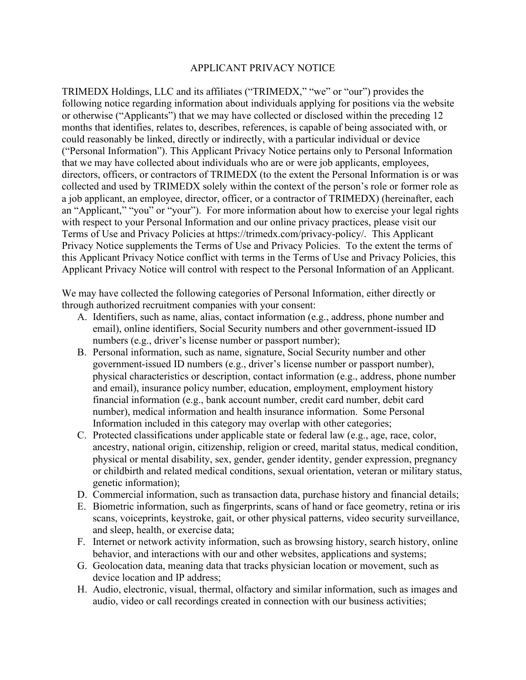## APPLICANT PRIVACY NOTICE

TRIMEDX Holdings, LLC and its affiliates ("TRIMEDX," "we" or "our") provides the following notice regarding information about individuals applying for positions via the website or otherwise ("Applicants") that we may have collected or disclosed within the preceding 12 months that identifies, relates to, describes, references, is capable of being associated with, or could reasonably be linked, directly or indirectly, with a particular individual or device ("Personal Information"). This Applicant Privacy Notice pertains only to Personal Information that we may have collected about individuals who are or were job applicants, employees, directors, officers, or contractors of TRIMEDX (to the extent the Personal Information is or was collected and used by TRIMEDX solely within the context of the person's role or former role as a job applicant, an employee, director, officer, or a contractor of TRIMEDX) (hereinafter, each an "Applicant," "you" or "your"). For more information about how to exercise your legal rights with respect to your Personal Information and our online privacy practices, please visit our Terms of Use and Privacy Policies at https://trimedx.com/privacy-policy/. This Applicant Privacy Notice supplements the Terms of Use and Privacy Policies. To the extent the terms of this Applicant Privacy Notice conflict with terms in the Terms of Use and Privacy Policies, this Applicant Privacy Notice will control with respect to the Personal Information of an Applicant.

We may have collected the following categories of Personal Information, either directly or through authorized recruitment companies with your consent:

- A. Identifiers, such as name, alias, contact information (e.g., address, phone number and email), online identifiers, Social Security numbers and other government-issued ID numbers (e.g., driver's license number or passport number);
- B. Personal information, such as name, signature, Social Security number and other government-issued ID numbers (e.g., driver's license number or passport number), physical characteristics or description, contact information (e.g., address, phone number and email), insurance policy number, education, employment, employment history financial information (e.g., bank account number, credit card number, debit card number), medical information and health insurance information. Some Personal Information included in this category may overlap with other categories;
- C. Protected classifications under applicable state or federal law (e.g., age, race, color, ancestry, national origin, citizenship, religion or creed, marital status, medical condition, physical or mental disability, sex, gender, gender identity, gender expression, pregnancy or childbirth and related medical conditions, sexual orientation, veteran or military status, genetic information);
- D. Commercial information, such as transaction data, purchase history and financial details;
- E. Biometric information, such as fingerprints, scans of hand or face geometry, retina or iris scans, voiceprints, keystroke, gait, or other physical patterns, video security surveillance, and sleep, health, or exercise data;
- F. Internet or network activity information, such as browsing history, search history, online behavior, and interactions with our and other websites, applications and systems;
- G. Geolocation data, meaning data that tracks physician location or movement, such as device location and IP address;
- H. Audio, electronic, visual, thermal, olfactory and similar information, such as images and audio, video or call recordings created in connection with our business activities;